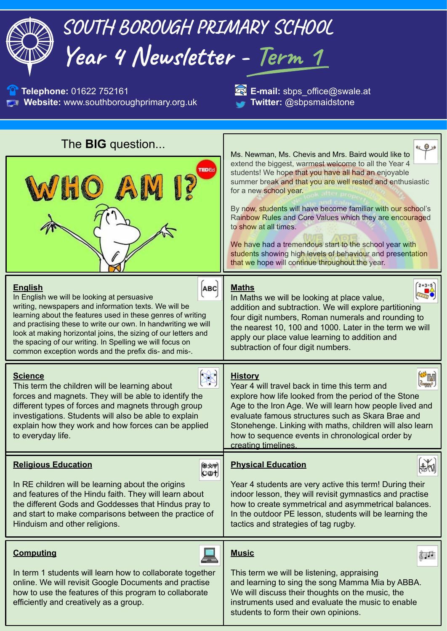